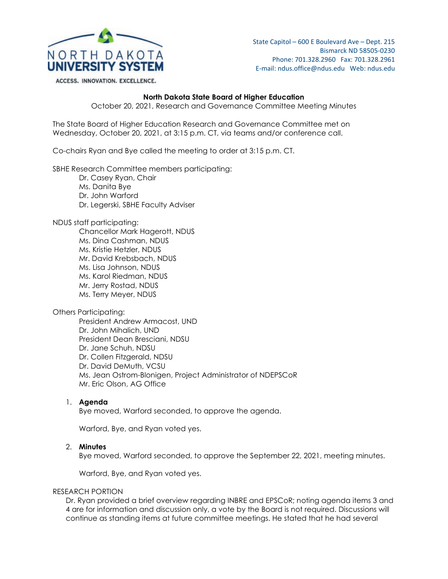

ACCESS. INNOVATION. EXCELLENCE.

## **North Dakota State Board of Higher Education**

October 20, 2021, Research and Governance Committee Meeting Minutes

The State Board of Higher Education Research and Governance Committee met on Wednesday, October 20, 2021, at 3:15 p.m. CT, via teams and/or conference call.

Co-chairs Ryan and Bye called the meeting to order at 3:15 p.m. CT.

SBHE Research Committee members participating:

Dr. Casey Ryan, Chair

Ms. Danita Bye

Dr. John Warford

Dr. Legerski, SBHE Faculty Adviser

NDUS staff participating:

Chancellor Mark Hagerott, NDUS Ms. Dina Cashman, NDUS Ms. Kristie Hetzler, NDUS Mr. David Krebsbach, NDUS Ms. Lisa Johnson, NDUS Ms. Karol Riedman, NDUS Mr. Jerry Rostad, NDUS Ms. Terry Meyer, NDUS

Others Participating:

President Andrew Armacost, UND Dr. John Mihalich, UND President Dean Bresciani, NDSU Dr. Jane Schuh, NDSU Dr. Collen Fitzgerald, NDSU Dr. David DeMuth, VCSU Ms. Jean Ostrom-Blonigen, Project Administrator of NDEPSCoR Mr. Eric Olson, AG Office

### 1. **Agenda**

Bye moved, Warford seconded, to approve the agenda.

Warford, Bye, and Ryan voted yes.

#### 2. **Minutes**

Bye moved, Warford seconded, to approve the September 22, 2021, meeting minutes.

Warford, Bye, and Ryan voted yes.

#### RESEARCH PORTION

Dr. Ryan provided a brief overview regarding INBRE and EPSCoR; noting agenda items 3 and 4 are for information and discussion only, a vote by the Board is not required. Discussions will continue as standing items at future committee meetings. He stated that he had several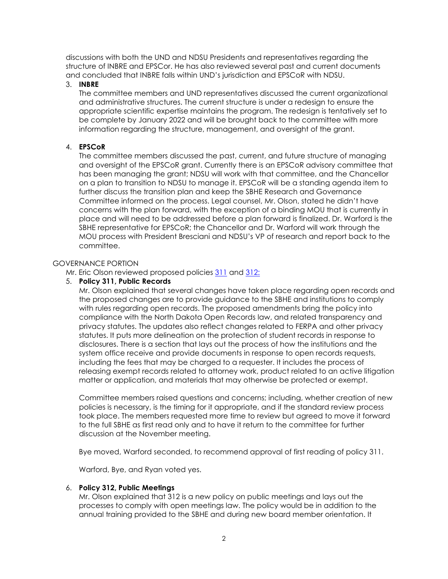discussions with both the UND and NDSU Presidents and representatives regarding the structure of INBRE and EPSCor. He has also reviewed several past and current documents and concluded that INBRE falls within UND's jurisdiction and EPSCoR with NDSU.

### 3. **INBRE**

The committee members and UND representatives discussed the current organizational and administrative structures. The current structure is under a redesign to ensure the appropriate scientific expertise maintains the program. The redesign is tentatively set to be complete by January 2022 and will be brought back to the committee with more information regarding the structure, management, and oversight of the grant.

# 4. **EPSCoR**

The committee members discussed the past, current, and future structure of managing and oversight of the EPSCoR grant. Currently there is an EPSCoR advisory committee that has been managing the grant; NDSU will work with that committee, and the Chancellor on a plan to transition to NDSU to manage it. EPSCoR will be a standing agenda item to further discuss the transition plan and keep the SBHE Research and Governance Committee informed on the process. Legal counsel, Mr. Olson, stated he didn't have concerns with the plan forward, with the exception of a binding MOU that is currently in place and will need to be addressed before a plan forward is finalized. Dr. Warford is the SBHE representative for EPSCoR; the Chancellor and Dr. Warford will work through the MOU process with President Bresciani and NDSU's VP of research and report back to the committee.

### GOVERNANCE PORTION

Mr. Eric Olson reviewed proposed policies [311](https://ndusbpos.sharepoint.com/:b:/s/NDUSSBHE/Ec_XMeYf15tAtxNFG0R3DPYByYeHXWN9WaIuqerlEjiKEw?e=5wNi7n) and [312:](https://ndusbpos.sharepoint.com/:b:/s/NDUSSBHE/EWXDBcBeWc1OhhZkwclTFmwBvHz-d3wODKrO2wOYEsBX0g?e=t6dbe3)

#### 5. **Policy 311, Public Records**

Mr. Olson explained that several changes have taken place regarding open records and the proposed changes are to provide guidance to the SBHE and institutions to comply with rules regarding open records. The proposed amendments bring the policy into compliance with the North Dakota Open Records law, and related transparency and privacy statutes. The updates also reflect changes related to FERPA and other privacy statutes. It puts more delineation on the protection of student records in response to disclosures. There is a section that lays out the process of how the institutions and the system office receive and provide documents in response to open records requests, including the fees that may be charged to a requester. It includes the process of releasing exempt records related to attorney work, product related to an active litigation matter or application, and materials that may otherwise be protected or exempt.

Committee members raised questions and concerns; including, whether creation of new policies is necessary, is the timing for it appropriate, and if the standard review process took place. The members requested more time to review but agreed to move it forward to the full SBHE as first read only and to have it return to the committee for further discussion at the November meeting.

Bye moved, Warford seconded, to recommend approval of first reading of policy 311.

Warford, Bye, and Ryan voted yes.

### 6. **Policy 312, Public Meetings**

Mr. Olson explained that 312 is a new policy on public meetings and lays out the processes to comply with open meetings law. The policy would be in addition to the annual training provided to the SBHE and during new board member orientation. It